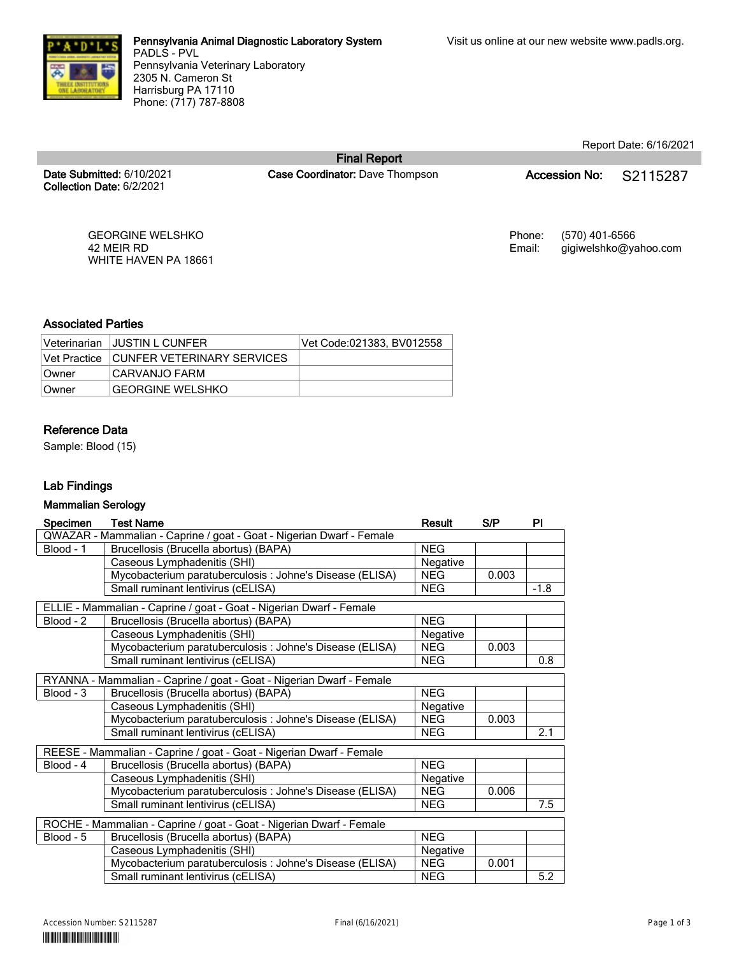

Report Date: 6/16/2021

**Date Submitted:** 6/10/2021 **Collection Date:** 6/2/2021

**Final Report**

**Case Coordinator:** Dave Thompson **Accession No:** S2115287

GEORGINE WELSHKO 42 MEIR RD WHITE HAVEN PA 18661 Phone: (570) 401-6566

Email: gigiwelshko@yahoo.com

# **Associated Parties**

|        | Veterinarian JUSTIN L CUNFER             | Vet Code:021383, BV012558 |
|--------|------------------------------------------|---------------------------|
|        | Vet Practice ICUNFER VETERINARY SERVICES |                           |
| ⊺Owner | ICARVANJO FARM                           |                           |
| ⊺Owner | <b>GEORGINE WELSHKO</b>                  |                           |

# **Reference Data**

Sample: Blood (15)

# **Lab Findings**

### **Mammalian Serology**

| Specimen  | <b>Test Name</b>                                                     | Result          | S/P   | PI     |
|-----------|----------------------------------------------------------------------|-----------------|-------|--------|
|           | QWAZAR - Mammalian - Caprine / goat - Goat - Nigerian Dwarf - Female |                 |       |        |
| Blood - 1 | Brucellosis (Brucella abortus) (BAPA)                                | <b>NEG</b>      |       |        |
|           | Caseous Lymphadenitis (SHI)                                          | <b>Negative</b> |       |        |
|           | Mycobacterium paratuberculosis : Johne's Disease (ELISA)             | <b>NEG</b>      | 0.003 |        |
|           | Small ruminant lentivirus (cELISA)                                   | <b>NEG</b>      |       | $-1.8$ |
|           | ELLIE - Mammalian - Caprine / goat - Goat - Nigerian Dwarf - Female  |                 |       |        |
| Blood - 2 | Brucellosis (Brucella abortus) (BAPA)                                | <b>NEG</b>      |       |        |
|           | Caseous Lymphadenitis (SHI)                                          | Negative        |       |        |
|           | Mycobacterium paratuberculosis : Johne's Disease (ELISA)             | <b>NEG</b>      | 0.003 |        |
|           | Small ruminant lentivirus (cELISA)                                   | <b>NEG</b>      |       | 0.8    |
|           | RYANNA - Mammalian - Caprine / goat - Goat - Nigerian Dwarf - Female |                 |       |        |
| Blood - 3 | Brucellosis (Brucella abortus) (BAPA)                                | <b>NEG</b>      |       |        |
|           | Caseous Lymphadenitis (SHI)                                          | Negative        |       |        |
|           | Mycobacterium paratuberculosis : Johne's Disease (ELISA)             | <b>NEG</b>      | 0.003 |        |
|           | Small ruminant lentivirus (cELISA)                                   | <b>NEG</b>      |       | 2.1    |
|           | REESE - Mammalian - Caprine / goat - Goat - Nigerian Dwarf - Female  |                 |       |        |
| Blood - 4 | Brucellosis (Brucella abortus) (BAPA)                                | <b>NEG</b>      |       |        |
|           | Caseous Lymphadenitis (SHI)                                          | Negative        |       |        |
|           | Mycobacterium paratuberculosis : Johne's Disease (ELISA)             | <b>NEG</b>      | 0.006 |        |
|           | Small ruminant lentivirus (cELISA)                                   | NEG.            |       | 7.5    |
|           | ROCHE - Mammalian - Caprine / goat - Goat - Nigerian Dwarf - Female  |                 |       |        |
| Blood - 5 | Brucellosis (Brucella abortus) (BAPA)                                | <b>NEG</b>      |       |        |
|           | Caseous Lymphadenitis (SHI)                                          | Negative        |       |        |
|           | Mycobacterium paratuberculosis : Johne's Disease (ELISA)             | <b>NEG</b>      | 0.001 |        |
|           | Small ruminant lentivirus (cELISA)                                   | <b>NEG</b>      |       | 5.2    |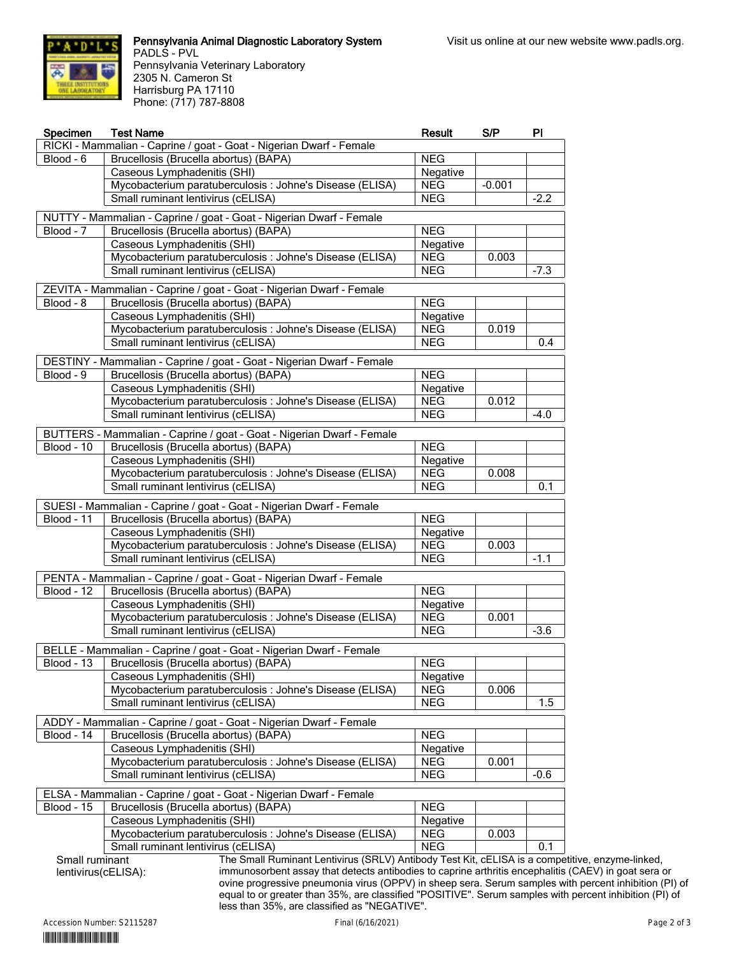

**Pennsylvania Animal Diagnostic Laboratory System** PADLS - PVL Pennsylvania Veterinary Laboratory 2305 N. Cameron St Harrisburg PA 17110 Phone: (717) 787-8808

| Specimen   | <b>Test Name</b>                                                                               | <b>Result</b>            | S/P      | PI     |
|------------|------------------------------------------------------------------------------------------------|--------------------------|----------|--------|
|            | RICKI - Mammalian - Caprine / goat - Goat - Nigerian Dwarf - Female                            |                          |          |        |
| Blood - 6  | Brucellosis (Brucella abortus) (BAPA)                                                          | <b>NEG</b>               |          |        |
|            | Caseous Lymphadenitis (SHI)                                                                    | Negative                 |          |        |
|            | Mycobacterium paratuberculosis : Johne's Disease (ELISA)                                       | <b>NEG</b>               | $-0.001$ |        |
|            | Small ruminant lentivirus (cELISA)                                                             | <b>NEG</b>               |          | $-2.2$ |
|            |                                                                                                |                          |          |        |
|            | NUTTY - Mammalian - Caprine / goat - Goat - Nigerian Dwarf - Female                            |                          |          |        |
| Blood - 7  | Brucellosis (Brucella abortus) (BAPA)                                                          | <b>NEG</b>               |          |        |
|            | Caseous Lymphadenitis (SHI)                                                                    | Negative                 |          |        |
|            | Mycobacterium paratuberculosis : Johne's Disease (ELISA)                                       | <b>NEG</b>               | 0.003    |        |
|            | Small ruminant lentivirus (cELISA)                                                             | <b>NEG</b>               |          | $-7.3$ |
|            | ZEVITA - Mammalian - Caprine / goat - Goat - Nigerian Dwarf - Female                           |                          |          |        |
| Blood - 8  | Brucellosis (Brucella abortus) (BAPA)                                                          | <b>NEG</b>               |          |        |
|            | Caseous Lymphadenitis (SHI)                                                                    | Negative                 |          |        |
|            | Mycobacterium paratuberculosis : Johne's Disease (ELISA)                                       | <b>NEG</b>               | 0.019    |        |
|            | Small ruminant lentivirus (cELISA)                                                             | <b>NEG</b>               |          | 0.4    |
|            |                                                                                                |                          |          |        |
| Blood - 9  | DESTINY - Mammalian - Caprine / goat - Goat - Nigerian Dwarf - Female                          | <b>NEG</b>               |          |        |
|            | Brucellosis (Brucella abortus) (BAPA)                                                          |                          |          |        |
|            | Caseous Lymphadenitis (SHI)                                                                    | Negative                 |          |        |
|            | Mycobacterium paratuberculosis : Johne's Disease (ELISA)                                       | <b>NEG</b>               | 0.012    |        |
|            | Small ruminant lentivirus (cELISA)                                                             | <b>NEG</b>               |          | $-4.0$ |
|            | BUTTERS - Mammalian - Caprine / goat - Goat - Nigerian Dwarf - Female                          |                          |          |        |
| Blood - 10 | Brucellosis (Brucella abortus) (BAPA)                                                          | <b>NEG</b>               |          |        |
|            | Caseous Lymphadenitis (SHI)                                                                    | Negative                 |          |        |
|            | Mycobacterium paratuberculosis : Johne's Disease (ELISA)                                       | <b>NEG</b>               | 0.008    |        |
|            | Small ruminant lentivirus (cELISA)                                                             | <b>NEG</b>               |          | 0.1    |
|            |                                                                                                |                          |          |        |
| Blood - 11 | SUESI - Mammalian - Caprine / goat - Goat - Nigerian Dwarf - Female                            | <b>NEG</b>               |          |        |
|            | Brucellosis (Brucella abortus) (BAPA)                                                          |                          |          |        |
|            | Caseous Lymphadenitis (SHI)                                                                    | Negative                 |          |        |
|            | Mycobacterium paratuberculosis : Johne's Disease (ELISA)                                       | <b>NEG</b>               | 0.003    |        |
|            | Small ruminant lentivirus (cELISA)                                                             | <b>NEG</b>               |          | $-1.1$ |
|            | PENTA - Mammalian - Caprine / goat - Goat - Nigerian Dwarf - Female                            |                          |          |        |
| Blood - 12 | Brucellosis (Brucella abortus) (BAPA)                                                          | <b>NEG</b>               |          |        |
|            | Caseous Lymphadenitis (SHI)                                                                    | Negative                 |          |        |
|            | Mycobacterium paratuberculosis : Johne's Disease (ELISA)                                       | <b>NEG</b>               | 0.001    |        |
|            | Small ruminant lentivirus (cELISA)                                                             | <b>NEG</b>               |          | $-3.6$ |
|            | BELLE - Mammalian - Caprine / goat - Goat - Nigerian Dwarf - Female                            |                          |          |        |
| Blood - 13 | Brucellosis (Brucella abortus) (BAPA)                                                          | <b>NEG</b>               |          |        |
|            | Caseous Lymphadenitis (SHI)                                                                    | Negative                 |          |        |
|            | Mycobacterium paratuberculosis : Johne's Disease (ELISA)                                       | <b>NEG</b>               | 0.006    |        |
|            | Small ruminant lentivirus (cELISA)                                                             | <b>NEG</b>               |          | 1.5    |
|            |                                                                                                |                          |          |        |
|            | ADDY - Mammalian - Caprine / goat - Goat - Nigerian Dwarf - Female                             |                          |          |        |
| Blood - 14 | Brucellosis (Brucella abortus) (BAPA)                                                          | <b>NEG</b>               |          |        |
|            | Caseous Lymphadenitis (SHI)                                                                    | Negative                 |          |        |
|            | Mycobacterium paratuberculosis : Johne's Disease (ELISA)                                       | <b>NEG</b>               | 0.001    |        |
|            | Small ruminant lentivirus (cELISA)                                                             | NEG                      |          | $-0.6$ |
|            |                                                                                                |                          |          |        |
|            |                                                                                                |                          |          |        |
|            | ELSA - Mammalian - Caprine / goat - Goat - Nigerian Dwarf - Female                             |                          |          |        |
| Blood - 15 | Brucellosis (Brucella abortus) (BAPA)                                                          | <b>NEG</b>               |          |        |
|            | Caseous Lymphadenitis (SHI)                                                                    | Negative                 |          |        |
|            | Mycobacterium paratuberculosis : Johne's Disease (ELISA)<br>Small ruminant lentivirus (cELISA) | <b>NEG</b><br><b>NEG</b> | 0.003    | 0.1    |

lentivirus(cELISA):

The Small Ruminant Lentivirus (SRLV) Antibody Test Kit, cELISA is a competitive, enzyme-linked, immunosorbent assay that detects antibodies to caprine arthritis encephalitis (CAEV) in goat sera or ovine progressive pneumonia virus (OPPV) in sheep sera. Serum samples with percent inhibition (PI) of equal to or greater than 35%, are classified "POSITIVE". Serum samples with percent inhibition (PI) of less than 35%, are classified as "NEGATIVE".